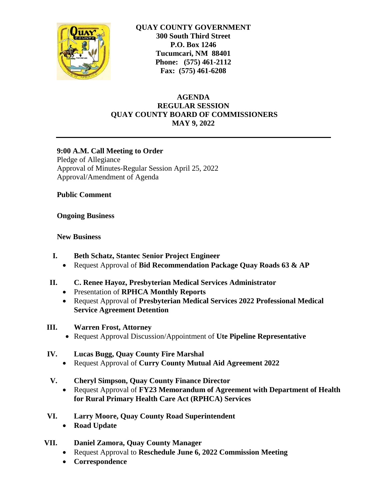

**QUAY COUNTY GOVERNMENT 300 South Third Street P.O. Box 1246 Tucumcari, NM 88401 Phone: (575) 461-2112 Fax: (575) 461-6208**

# **AGENDA REGULAR SESSION QUAY COUNTY BOARD OF COMMISSIONERS MAY 9, 2022**

## **9:00 A.M. Call Meeting to Order**

Pledge of Allegiance Approval of Minutes-Regular Session April 25, 2022 Approval/Amendment of Agenda

**Public Comment**

## **Ongoing Business**

## **New Business**

- **I. Beth Schatz, Stantec Senior Project Engineer**
	- Request Approval of **Bid Recommendation Package Quay Roads 63 & AP**
- **II. C. Renee Hayoz, Presbyterian Medical Services Administrator**
	- Presentation of **RPHCA Monthly Reports**
	- Request Approval of **Presbyterian Medical Services 2022 Professional Medical Service Agreement Detention**
- **III. Warren Frost, Attorney**
	- Request Approval Discussion/Appointment of **Ute Pipeline Representative**
- **IV. Lucas Bugg, Quay County Fire Marshal**
	- Request Approval of **Curry County Mutual Aid Agreement 2022**
- **V. Cheryl Simpson, Quay County Finance Director** 
	- Request Approval of **FY23 Memorandum of Agreement with Department of Health for Rural Primary Health Care Act (RPHCA) Services**
- **VI. Larry Moore, Quay County Road Superintendent**
	- **Road Update**
- **VII. Daniel Zamora, Quay County Manager**
	- Request Approval to **Reschedule June 6, 2022 Commission Meeting**
	- **Correspondence**